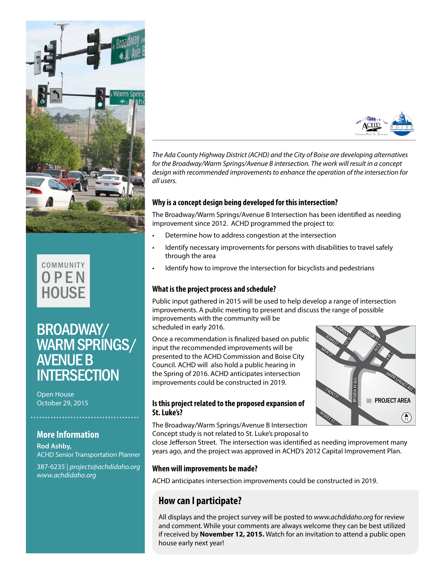



# BROADWAY/ WARM SPRINGS/ AVENUE B **INTERSECTION**

October 29, 2015

# **More Information**

**Rod Ashby,**  ACHD Senior Transportation Planner

387-6235 | *projects@achdidaho.org www.achdidaho.org*



*The Ada County Highway District (ACHD) and the City of Boise are developing alternatives for the Broadway/Warm Springs/Avenue B intersection. The work will result in a concept design with recommended improvements to enhance the operation of the intersection for all users.* 

## **Why is a concept design being developed for this intersection?**

The Broadway/Warm Springs/Avenue B Intersection has been identified as needing improvement since 2012. ACHD programmed the project to:

- Determine how to address congestion at the intersection
- Identify necessary improvements for persons with disabilities to travel safely through the area
- Identify how to improve the intersection for bicyclists and pedestrians

# **What is the project process and schedule?**

Public input gathered in 2015 will be used to help develop a range of intersection improvements. A public meeting to present and discuss the range of possible improvements with the community will be

scheduled in early 2016.

Once a recommendation is finalized based on public input the recommended improvements will be presented to the ACHD Commission and Boise City Council. ACHD will also hold a public hearing in the Spring of 2016. ACHD anticipates intersection improvements could be constructed in 2019.

# **St. Luke's?**

The Broadway/Warm Springs/Avenue B Intersection Concept study is not related to St. Luke's proposal to

close Jefferson Street. The intersection was identified as needing improvement many years ago, and the project was approved in ACHD's 2012 Capital Improvement Plan.

### **When will improvements be made?**

ACHD anticipates intersection improvements could be constructed in 2019.

# **How can I participate?**

All displays and the project survey will be posted to *www.achdidaho.org* for review and comment. While your comments are always welcome they can be best utilized if received by **November 12, 2015.** Watch for an invitation to attend a public open house early next year!